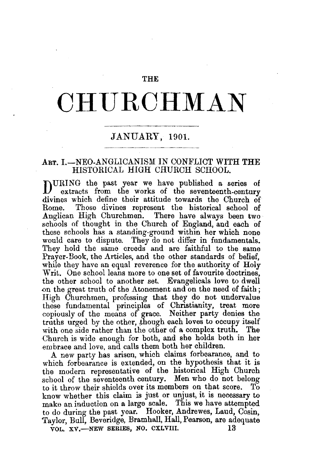### THE

# **CHURCHMAN**

## JANUARY, 1901.

## ART. I.-NEO-ANGLICANISM IN CONFLICT WITH THE HISTORICAL HIGH CHURCH SCHOOL.

DURING the past year we have published a series of extracts from the works of the seventeenth-century divines which define their attitude towards the Church of Those divines represent the historical school of Anglican High Churchmen. There have always been two schools of thought in the Church of England, and each of these schools has a standing-ground within her which none would care to dispute. They do not differ in fundamentals. They hold the same creeds and are faithful to the same Prayer-Book, the Articles, and the other standards of belief, while they have an equal reverence for the authority of Holy Writ. One school leans more to one set of favourite doctrines. the other school to another set. Evangelicals love to dwell on the great truth of the Atonement and on the need of faith; High Churchmen, professing that they do not undervalue these fundamental principles of Christianity, treat more copiously of the means of grace. Neither party denies the truths urged by the other, though each loves to occupy itself with one side rather than the other of a complex truth. The Church is wide enough for both, and she holds both in her em brace and love, and calls them both her children.

A new party has arisen, which claims forbearance, and to which forbearance is extended, on the hypothesis that it is the modern representative of the historical High Church school of the seventeenth century. Men who do not belong<br>to it throw their shields over its members on that score. To to it throw their shields over its members on that score. know whether this claim is just or unjust, it is necessary to make an induction on a large scale. This we have attempted to do during the past year. Hooker, Andrewes, Laud, Cosin, Taylor, Bull, Beveridge, Bramhall, Hall, Pearson, are adequate VOL. XV,-NEW SERIES, NO. CXLVIII. 13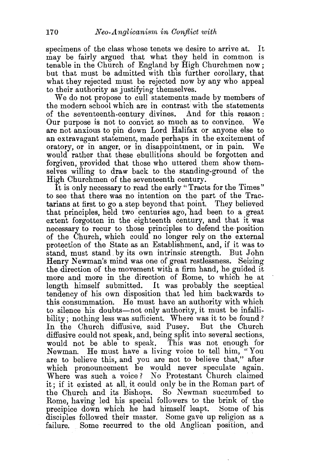specimens of the class whose tenets we desire to arrive at. It may be fairly argued that what they held in common is tenable in the Church of England by High Churchmen now ; but that must be admitted with this further corollary, that what they rejected must be rejected now by any who appeal to their authority as justifying themselves.

We do not propose to cull statements made by members of the modern school which are in contrast with the statements of the seventeenth-century divines. And for this reason : Our purpose is not to convict so much as to convince. We are not anxious to pin down Lord Halifax or anyone else to an extravagant statement, made perhaps in the excitement of oratory, or in anger, or in disappointment, or in pain. We would rather that these ebullitions should be forgotten and forgiven, provided that those who uttered them show themselves willing to draw back to the standing-ground of the High Churchmen of the seventeenth century.

It is only necessary to read the early" Tracts for the Times" to see that there was no intention on the part of the Tractarians at first to go a step beyond that point. They believed that principles, held two centuries ago, had been to a great extent forgotten in the eighteenth century, and that it was necessary to recur to those principles to defend the position of the Church, which could no longer rely on the external protection of the State as an Establishment, and, if it was to stand, must stand. by its own intrinsic strength. But John Henry Newman's mind was one of great restlessness. Seizing the direction of the movement with a firm hand, he guided it more and more in the direction of Rome, to which he at length himself submitted. It was probably the sceptical tendency of his own disposition that led him backwards to this consummation. He must have an authority with which to silence his doubts—not only authority, it must be infallibility; nothing less was sufficient. Where was it to be found? In the Church diffusive, said Pusey. But the Church diffusive could not speak, and, being split into several sections, would not be able to speak. This was not enough for Newman. He must have a living voice to tell him, "You are to believe this, and you are not to believe that," after which pronouncement he would never speculate again. Where was such a voice? No Protestant Church claimed it; if it existed at all, it could only be in the Roman part of the Church and its Bishops. So Newman succumbed to Rome, having led his spec'ial followers to the brink of the precipice down which he had himself leapt. Some of his disciples followed their master. Some gave up religion as a failure. Some recurred to the old Anglican position, and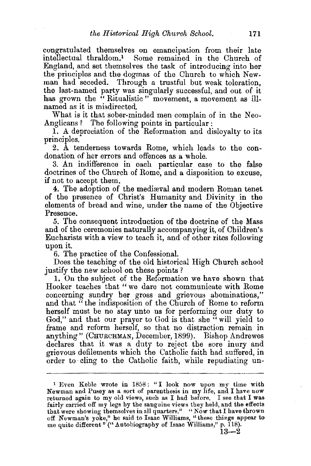congratulated themselves on emancipation from their late intellectual thraldom.1 Some remained in the Church of England, and set themselves the task of introducing into her the principles and the dogmas of the Church to which New• man had seceded. Through a trustful but weak toleration, the last-named party was singularly successful, and out of it has grown the "Ritualistic " movement, a movement as illnamed as it is misdirected.

What is it that sober-minded men complain of in the Neo-Anglicans? The following points in particular:

1. A depreciation of the Reformation and disloyalty to its principles.

2. A tenderness towards Rome, which leads to the condonation of her errors and offences as a whole.

3. An indifference in each particular case to the false doctrines of the Church of Rome, and a disposition to excuse, if not to accept them.

4. The adoption of the mediæval and modern Roman tenet of the presence of Christ's Humanity and Divinity in the elements of bread and wine, under the name of the Objective Presence.

5. The consequent introduction of the doctrine of the Mass and of the ceremonies naturally accompanying it, of Children's Eucharists with a view to teach it, and of other rites following upon it.

6. The practice of the Confessional.

Does the teaching of the old historical High Church school justify the new school on these points?

1. On the subject of the Reformation we have shown that Hooker teaches that" we dare not communicate with Rome concerning sundry her gross and grievous abominations," and that " the indisposition of the Church of Rome to reform herself must be no stay unto us for performing our duty to God," and that our prayer to God is that she " will yield to frame and reform herself, so that no distraction remain in anything" (CHURCHMAN, December, 1899). Bishop Andrewes declares that it was a duty to reject the sore inury and grievous defilements which the Catholic faith had suffered, in order to· cling to the Catholic faith, while repudiating un-

<sup>&</sup>lt;sup>1</sup> Even Keble wrote in 1858: "I look now upon my time with Newman and Pusey as a sort of parenthesis in my life, and I have now returned again to my old views, such as I had before. I see that I was fairly carried off my legs by the sanguine views they held, and the effects that were showing themselves in all quarters." "Now that I have thrown off Newman's yoke," he said to Isaac Williams, "these things appear to me quite different" ("Autobiography of Isaac Williams," p. 118).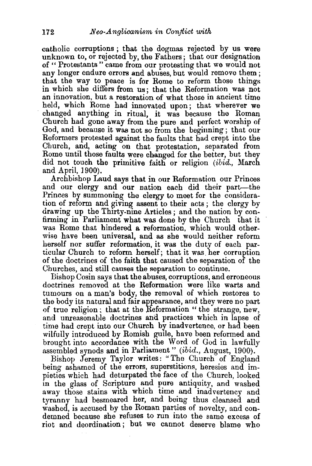catholic corruptions ; that the dogmas rejected by us were unknown to, or rejected by, the Fathers ; that our designation of " Protestants" came from our protesting that we would not any longer endure errors and abuses, but would remove them ; that the way to peace is for Rome to reform those things in which she differs from us; that the Reformation was not an innovation, but a restoration of what those in ancient time held, which Rome had innovated upon; that wherever we changed anything in ritual, it was because the Roman Church had gone away from the pure and perfect worship of God, and because it was not so from the beginning ; that our Reformers protested against the faults that had crept into the Church, and, acting on that protestation, separated from Rome until those faults were changed for the better, but they did not touch the primitive faith or religion (ibid., March and April, 1900).

Archbishop Laud says that in our Reformation our Princes and our clergy and our nation each did their part—the Princes by summoning the clergy to meet for the consideration of reform and giving assent to their acts ; the clergy by drawing up the Thirty-nine Articles; and the nation by confirming in Parliament what was done by the Church that it was Rome that hindered a reformation, which would otherwise have been universal, and as she would neither reform herself nor suffer reformation, it was the duty of each particular Church to reform herself; that it was. her corruption of the doctrines of the faith that caused the separation of the Churches, and still causes the separation to continue.

Bishop Cosin says that the abuses, corruptions, and erroneous doctrines removed at the Reformation were like warts and tumours on a man's body, the removal of which restores to the body its natural and fair appearance, and they were no part of true religion; that at the Reformation " the strange, new, and unreasonable doctrines and practices which in lapse of time had crept into our Church by inadvertence, or had been wilfully introduced by Romish guile, have been reformed and brought into accordance with the Word of God in lawfully assembled synods and in Parliament" ( $ibid.$ , August, 1900).

Bishop Jeremy Taylor writes: "The Church of England being ashamed of the errors, superstitions, heresies and impieties which had deturpated the face of the Church, looked in the glass of Scripture and pure antiquity, and washed away those stains with which time and inadvertency and tyranny had besmeared her, and being thus cleansed and washed, is accused by the Roman parties of novelty, and condemned because she refuses to run into the same excess of riot and deordination ; but we cannot deserve blame who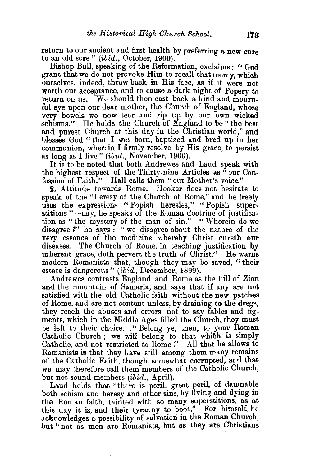return to our ancient and first health by preferring a new cure to an old sore" (ibid., October, 1900).

Bishop Bull, speaking of the Reformation, exclaims : "God grant that we do not provoke Him to recall that mercy, which ourselves, indeed, throw back in His face, as if it were not worth our acceptance, and to cause a dark night of Popery to return on us. We should then cast back a kind and mourn-We should then cast back a kind and mournful eye upon our dear mother, the Church of England, whose very bowels we now tear and rip up by our own wicked schisms." He holds the Church of England to be " the best and purest Church at this day in the Christian world," and blesses God " that I was born, baptized and bred up in her communion, wherein I firmly resolve, by His grace, to persist as long as I live" (ibid., November, 1900).

It is to be noted that both Andrewes and Laud speak with the highest respect of the Thirty-nine Articles as "our Confession of Faith." Hall calls them "our Mother's voice."

2. Attitude towards Rome. Hooker does not hesitate to speak of the " heresy of the Church of Rome," and he freely uses the expressions "Popish heresies," "Popish superstitions "-nay, he speaks of the Roman doctrine of justification as "the mystery of the man of sin." "Wherein do we disagree ?" he says : "we disagree about the nature of the very essence of the medicine whereby Christ cureth our diseases. The Church of Rome, in teaching justification by inherent grace, doth pervert the truth of Christ." He warns modern Romanists that, though they may be saved, " their estate is dangerous" (ibid., December, 1899).

Andrewes contrasts England and Rome as the hill of Zion and the mountain of Samaria, and says that if any are not satisfied with the old Catholic faith without the new patches of Rome, and are not content unless, by draining to the dregs, they reach the abuses and errors, not to say fables and fig-· ments, which in the Middle Ages filled the Church, they must be left to their choice. . "Belong ye, then, to your Roman Catholic Church ; we will belong to that whibh is simply Catholic, and not restricted to Rome !" All that he allows to Romanists is that they have still among them many remains of the Catholic Faith, though somewhat corrupted, and that we may therefore call them members of the Catholic Church, but not sound members (ibid., April).

Laud holds that "there is peril, great peril, of damnable both schism and heresy and other sins, by living and dying in the Roman faith, tainted with so many superstitions, as at this day it is, and their tyranny to boot." For himself, he acknowledges a possibility of salvation in the Roman Church, but "not as men are Romanists, but as they are Christians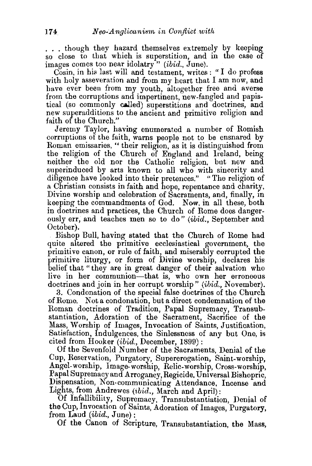... though they hazard themselves extremely by keeping so close to that which is superstition, and in the case of images comes too near idolatry" (*ibid.*, June).

Cosin, in his last will and testament, writes: "I do profess with holy asseveration and from my heart that I am now, and have ever been from my youth, altogether free and averse from the corruptions and impertinent, new-fangled and papistical (so commonly called) superstitions and doctrines, and new superadditions to the ancient and primitive religion and faith of the Church."

Jeremy Taylor, having enumerated a number of Romish corruptions of the faith, warns people not to be ensnared by Roman emissaries, " their religion, as it is distinguished from the religion of the Church of England and Ireland, being neither the old nor the Catholic religion, but new and superinduced by arts known to all who with sincerity and diligence have looked into their pretences." "The religion of a Christian consists in faith and hope, repentance and charity. Divine worship and celebration of Sacraments, and, finally, in keeping the commandments of God. Now, in all these, both in doctrines and practices, the Church of Rome does dangerously err, and teaches men so to do" (ibid., September and October).

Bishop Bull, having stated that the Church of Rome had quite altered the primitive ecclesiastical government, the primitive canon, or rule of faith, and miserably corrupted the primitive liturgy, or form of Divine worship, declares his belief that "they are in great danger of their salvation who live in her communion-that is, who own her erroneous doctrines and join in her corrupt worship" (ibid., November).

3. Condonation of the special false doctrines of the Church of Rome. Not a condonation, but a direct condemnation of the Roman doctrines of Tradition, Papal Supremacy, Transubstantiation, Adoration of the Sacrament, Sacrifice of the Mass, Worship of Images, Invocation of Saints, Justification, Satisfaction, Indulgences, the Sinlessness of any but One, is cited from Hooker (ibid., December, 1899):

Of the Sevenfold Number of the Sacraments, Denial of the Cup, Reservation, Purgatory, Supererogation, Saint-worship, Angel-worship, Image-worship, Relic-worship, Cross-worship, Papal Supremacy and Arrogancy, Regicide, Universal Bishopric, Dispensation, Non-communicating Attendance, Incense and Lights, from Andrewes (ibid., March and April):

Of Infallibility, Supremacy, Transubstantiation, Denial of the Cup, Invocation of Saints, Adoration of Images, Purgatory, from Laud (ibid., June):

Of the Canon of Scripture, Transubstantiation, the Mass,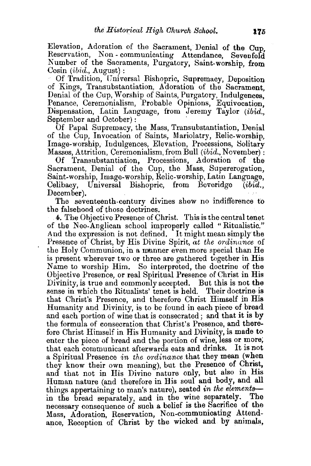Elevation, Adoration of the Sacrament, Denial of the Cup Reservation, Non- communicating Attendance, Sevenfold Number of the Sacraments, Purgatory, Saint-worship, from  $\text{Cosin } (ibid, \text{August})$ :

Of Tradition, Universal Bishopric, Supremacy, Deposition of Kings, Transubstantiation, Adoration of the Sacrament, Denial of the Cup, Worship of Saints, Purgatory, Indulgences, Penance, Ceremonialism, Probable Opinions, Equivocation, Dispensation, Latin Language, from Jeremy Taylor (ibid., September and October):

Of Papal Supremacy, the Mass, Transubstantiation, Denial of the Cup, Invocation of Saints, Mariolatry, Relic-worship, Image-worship, Indulgences, Elevation, Processions, Solitary Masses, Attrition, Ceremonialism, from Bull *(ibid.*, November):

Of Transubstantiation, Processions, Adoration of the Sacrament, Denial of the Cup, the Mass, Supererogation, Saint-worship, Image-worship, Relic-worship, Latin Language, Celibacy, Universal Bishopric, from Beveridge *(ibid.,*  December).

The seventeenth-century divines show no indifference to the falsehood of those doctrines.

4. The Objective Presence of Christ. This is the central tenet of the Neo-Anglican school improperly called "Ritualistic." And the expression is not defined. It might mean simply the Presence of Christ, by His Divine Spirit, *at the ordinance* of the Holy Communion, in a manner even more special than He is present wherever two or three are gathered together in His Name to worship Him. So interpreted, the doctrine of the Objective Presence, or real Spiritual Presence of Christ in His Divinity, is true and commonly accepted. But this is not the sense in which the Ritualists' tenet is held. Their doctrine is that Christ's Presence, and therefore Christ Himself in His Humanity and Divinity, is to be found in each piece of bread and each portion of wine that is consecrated ; and that it is by the formula of consecration that Christ's Presence, and therefore Christ Himself in His Humanity and Divinity, is made to enter the piece of bread and the portion of wine, less or more; that each communicant afterwards eats and drinks. It is not a Spiritual Presence *in the ordinance* that they mean (when they know their own meaning), but the Presence of Christ, and that not in His Divine nature only, but also in His Human nature (and therefore in His soul and body, and all things appertaining to man's nature), seated *in the elements-* in the bread separately, and in the wine separately. The necessary consequence of such a belief is the Sacrifice of the Mass, Adoration, Reservation, Non-communicating Attendance, Reception of Christ by the wicked and by animals.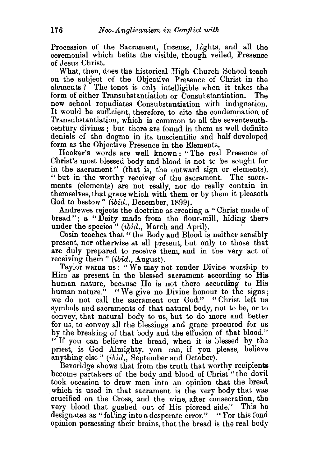Procession of the Sacrament, Incense, Lights, and all the ceremonial which befits the visible, though veiled, Presence of Jesus Christ.

What, then, does the historical High Church School teach on the subject of the Objective Presence of Christ in the elements? The tenet is only intelligible when it takes the form of either Transubstantiation or Consubstantiation. The new school repudiates Consubstantiation with indignation. It would be sufficient, therefore, to cite the condemnation of Transubstantiation, which is common to all the seventeenthcentury divines ; but there are found in them as well definite denials of the dogma in its unscientific and half-developed form as the Objective Presence in the Elements.

Hooker's words are well known : " The real Presence of Christ's most blessed body and blood is not to be sought for in the sacrament" (that is, the outward sign or elements), " but in the worthy receiver of the sacrament. The sacraments (elements) are not really, nor do really contain in themselves, that grace which with them or by them it pleaseth God to bestow" (ibid., December, 1899).

Andrewes rejects the doctrine as creating a " Christ made of bread"; a "Deity made from the flour-mill, hiding there under the species" (ibid., March and April).

Cosin teaches that "the Body and Blood is neither sensibly. present, nor otherwise at all present, but only to those that are duly prepared to receive them, and in the very act of receiving them" (ibid., August).

Taylor warns us: "We may not render Divine worship to Him as present in the blessed sacrament according to His human nature, because He is not there according to His human nature." "We give no Divine honour to the signs; we do not call the sacrament our God." "Christ left us symbols and sacraments of that natural body, not to be, or to convey, that natural body to us, but to do more and better for us, to convey all the blessings and grace procured for us by the breaking of that body and the effusion of that blood." " If you can believe the bread, when it is blessed by the priest, is God Almighty, you can, if you please, believe anything else " (ibid., September and October).

Beveridge shows that from the truth that worthy recipients become partakers of the body and blood of Christ "the devil took occasion to draw men into an opinion that the bread which is used in that sacrament is the very body that was crucified on the Cross, and the wine, after consecration, the very blood that gushed out of His pierced side." This he designates as " falling into a desperate error." "For this fond opinion possessing their brains, that the bread is the real body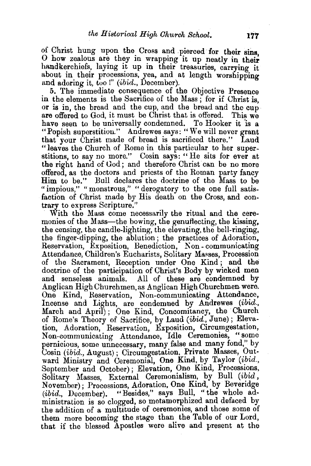of Christ hung upon the Cross and pierced for their sins, O how zealous are they in wrapping it up neatly in their handkerchiefs, laying it up in their treasuries, carrying it about in their processions, yea, and at length worshipping and adoring it, too!" *(ibid., December)*.

5. The immediate consequence of the Objective Presence in the elements is the Sacrifice of the Mass; for if Christ is, or is in, the bread and the cup, and the bread and the cup are offered to God, it must be Christ that is offered. This we have seen to be universally condemned. To Hooker it is a "Popish superstition." Andrewes says: "We will never grant that your Christ made of bread is sacrificed there." Laud "leaves the Church of Rome in this particular to her superstitions, to say no more." Cosin says: "He sits for ever at the right hand of God; and therefore Christ can be no more offered, as the doctors and priests of the Roman party fancy Him to be." Bull declares the doctrine of the Mass to be "impious," "monstrous," "derogatory to the one full satisfaction of Christ made by His death on the Cross, and contrary to express Scripture."

With the Mass come necessarily the ritual and the ceremonies of the Mass—the bowing, the genuflecting, the kissing, the censing, the candle-lighting, the elevating, the bell-ringing, the finger-dipping, the ablution; the practices of Adoration, Reservation, Exposition, Benediction, Non-communicating Attendance, Children's Eucharists, Solitary Masses, Procession of the Sacrament, Reception under One Kind ; and the doctrine of the participation of Christ's Body by wicked men and senseless animals. All of these are condemned by Anglican High Churchmen, as Anglican High Churchmen were. One Kind, Reservation, Non-communicating Attendance, Incense and Lights, are condemned by Andrewes (ibid., March and April) ; One Kind, Concomitancy, the Church of Rome's Theory of Sacrifice, by Laud (ibid., June); Elevation, Adoration, Reservation, Exposition, Circumgestation, Non-communicating Attendance, Idle Ceremonies, "some pernicious, some unnecessary, many false and many fond," by Cosin (ibid., August); Circumgestation, Private Masses, Outward Ministry and Ceremonial, One Kind, by Taylor (ibid., September and October); Elevation, One Kind, Processions, Solitary Masses, External Ceremonialism, by Bull (ibid. November); Processions, Adoration, One Kind, by Beveridge (ibid., December). "Besides," says Bull, "the whole administration is so clogged, so metamorphized and defaced by the addition of a multitude of ceremonies, and those some of them more becoming the stage than the Table of our Lord, that if the blessed Apostles were alive and present at the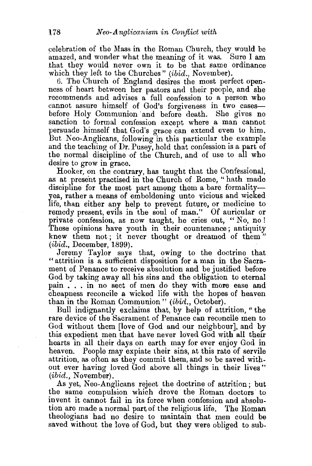celebration of the Mass in the Roman Church, they would be amazed, and wonder what the meaning of it was. Sure I am that they would never own it to be that same ordinance which they left to the Churches" *(ibid., November)*.

6. The Church of England desires the most perfect openness of heart between her pastors and their people, and she recommends and advises a full confession to a person who cannot assure himself of God's forgiveness in two casesbefore Holy Communion ·and before death. She gives no sanction to formal confession except where a man cannot persuade himself that God's grace can extend even to him. But Neo-Anglicans, following in this particular the example and the teaching of Dr. Pusey, hold that confession is a part of the normal discipline of the Church, and of use to all who desire to grow in grace.

Hooker, on the contrary, has taught that the Confessional, as at present practised in the Church of Rome, " hath made discipline for the most part among them a bare formalityyea, rather a means of emboldening unto vicious and wicked life, than either any help to prevent future, or medicine to remedy present, evils in the soul of man." Of auricular or private confession, as now taught, he cries out, " No, no ! These opinions have youth in their countenance; antiquity knew them not; it never thought or dreamed of them"  $(ibid., December, 1899).$ 

Jeremy Taylor says that, owing to the doctrine that "attrition is a sufficient disposition for a man in the Sacrament of Penance to receive absolution and be justified before God by taking away all his sins and the obligation to eternal pain . . . in no sect of men do they with more ease and cheapness reconcile a wicked life with. the hopes of heaven than in the Roman Communion" (ibid., October).

Bull indignantly exclaims that, by help of attrition, "the rare device of the Sacrament of Penance can reconcile men to God without them [love of God and our neighbour], and by this expedient men that have never loved God with all their hearts in all their days on earth may for ever enjoy God in heaven. People may expiate their sins, at this rate of servile attrition, as often as they commit them, and so be saved without ever having loved God above all things in their lives "  $(ibid.,\;November).$ 

As yet, Neo-Anglicans reject the doctrine of attrition; hut the same compulsion which drove the Roman doctors· to invent it cannot fail in its force when confession and absolution are made a normal part of the religious life. The Roman theologians had no desire to maintain that men could be saved without the love of God, but they were obliged to sub